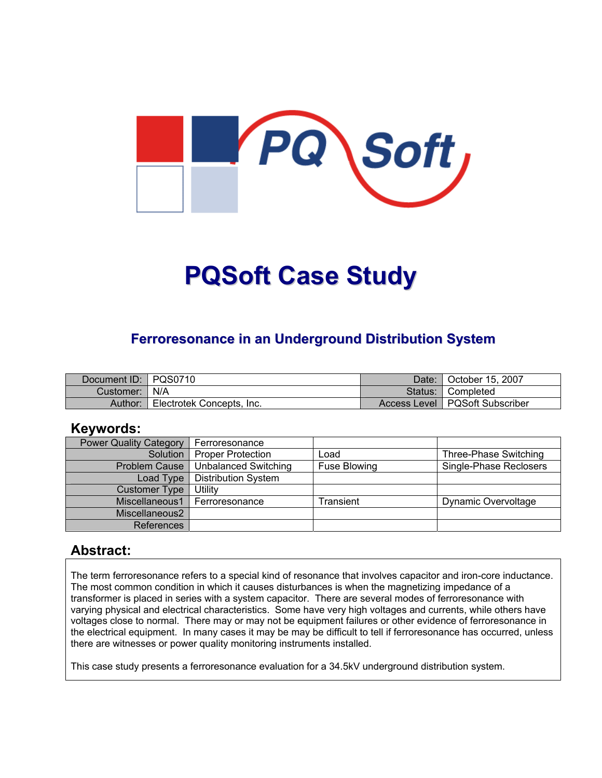

# **PQSoft Case Study**

### **Ferroresonance in an Underground Distribution System**

| Document ID: PQS0710 |                           | Date:     | <sup>1</sup> October 15, 2007    |
|----------------------|---------------------------|-----------|----------------------------------|
| Customer:            | N/A                       | Status: . | I Completed                      |
| Author:              | Electrotek Concepts, Inc. |           | Access Level   PQSoft Subscriber |

#### **Keywords:**

| <b>Power Quality Category</b> | Ferroresonance              |                     |                        |
|-------------------------------|-----------------------------|---------------------|------------------------|
| Solution                      | <b>Proper Protection</b>    | .oad                | Three-Phase Switching  |
| <b>Problem Cause</b>          | <b>Unbalanced Switching</b> | <b>Fuse Blowing</b> | Single-Phase Reclosers |
| Load Type                     | <b>Distribution System</b>  |                     |                        |
| <b>Customer Type</b>          | Utility                     |                     |                        |
| Miscellaneous1                | Ferroresonance              | Transient           | Dynamic Overvoltage    |
| Miscellaneous2                |                             |                     |                        |
| References                    |                             |                     |                        |

#### **Abstract:**

The term ferroresonance refers to a special kind of resonance that involves capacitor and iron-core inductance. The most common condition in which it causes disturbances is when the magnetizing impedance of a transformer is placed in series with a system capacitor. There are several modes of ferroresonance with varying physical and electrical characteristics. Some have very high voltages and currents, while others have voltages close to normal. There may or may not be equipment failures or other evidence of ferroresonance in the electrical equipment. In many cases it may be may be difficult to tell if ferroresonance has occurred, unless there are witnesses or power quality monitoring instruments installed.

This case study presents a ferroresonance evaluation for a 34.5kV underground distribution system.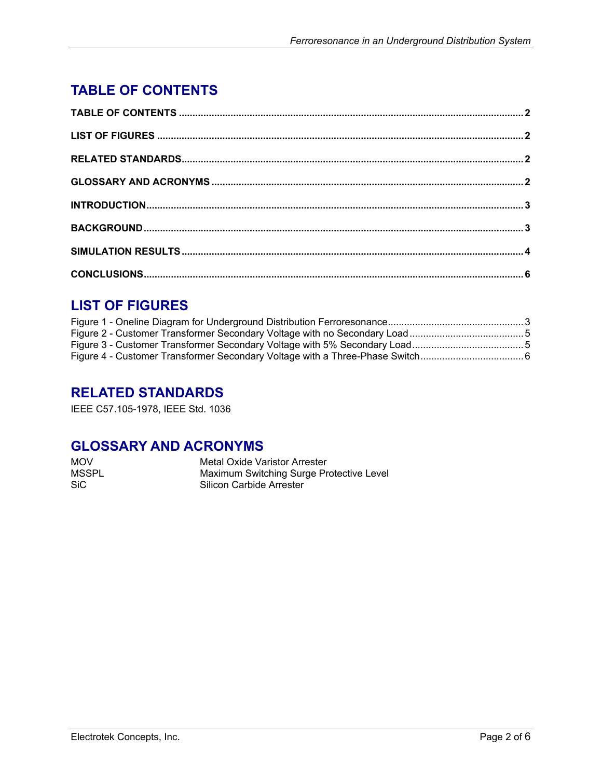# <span id="page-1-0"></span>**TABLE OF CONTENTS**

## **LIST OF FIGURES**

## **RELATED STANDARDS**

IEEE C57.105-1978, IEEE Std. 1036

### **GLOSSARY AND ACRONYMS**

| <b>MOV</b>   | Metal Oxide Varistor Arrester            |
|--------------|------------------------------------------|
| <b>MSSPL</b> | Maximum Switching Surge Protective Level |
| SiC.         | Silicon Carbide Arrester                 |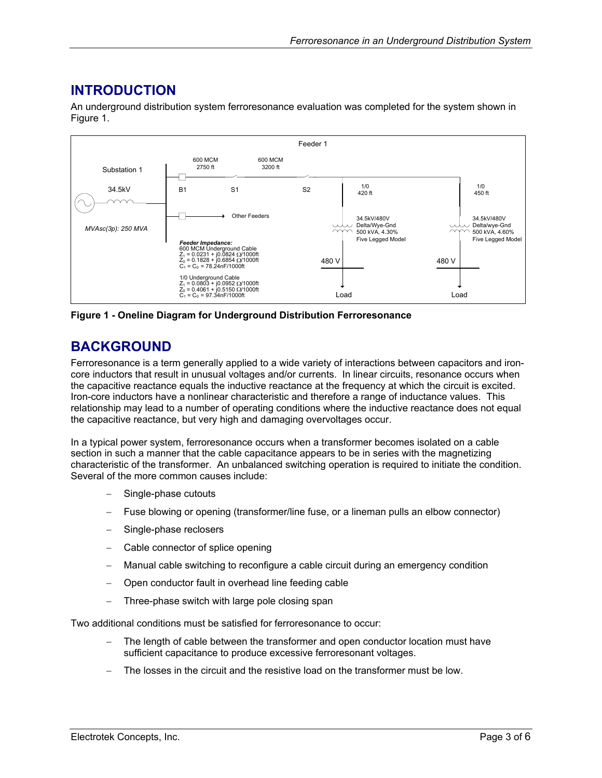### <span id="page-2-0"></span>**INTRODUCTION**

An underground distribution system ferroresonance evaluation was completed for the system shown in [Figure 1.](#page-2-1)

<span id="page-2-1"></span>

**Figure 1 - Oneline Diagram for Underground Distribution Ferroresonance**

#### **BACKGROUND**

Ferroresonance is a term generally applied to a wide variety of interactions between capacitors and ironcore inductors that result in unusual voltages and/or currents. In linear circuits, resonance occurs when the capacitive reactance equals the inductive reactance at the frequency at which the circuit is excited. Iron-core inductors have a nonlinear characteristic and therefore a range of inductance values. This relationship may lead to a number of operating conditions where the inductive reactance does not equal the capacitive reactance, but very high and damaging overvoltages occur.

In a typical power system, ferroresonance occurs when a transformer becomes isolated on a cable section in such a manner that the cable capacitance appears to be in series with the magnetizing characteristic of the transformer. An unbalanced switching operation is required to initiate the condition. Several of the more common causes include:

- Single-phase cutouts
- − Fuse blowing or opening (transformer/line fuse, or a lineman pulls an elbow connector)
- Single-phase reclosers
- Cable connector of splice opening
- Manual cable switching to reconfigure a cable circuit during an emergency condition
- − Open conductor fault in overhead line feeding cable
- Three-phase switch with large pole closing span

Two additional conditions must be satisfied for ferroresonance to occur:

- The length of cable between the transformer and open conductor location must have sufficient capacitance to produce excessive ferroresonant voltages.
- The losses in the circuit and the resistive load on the transformer must be low.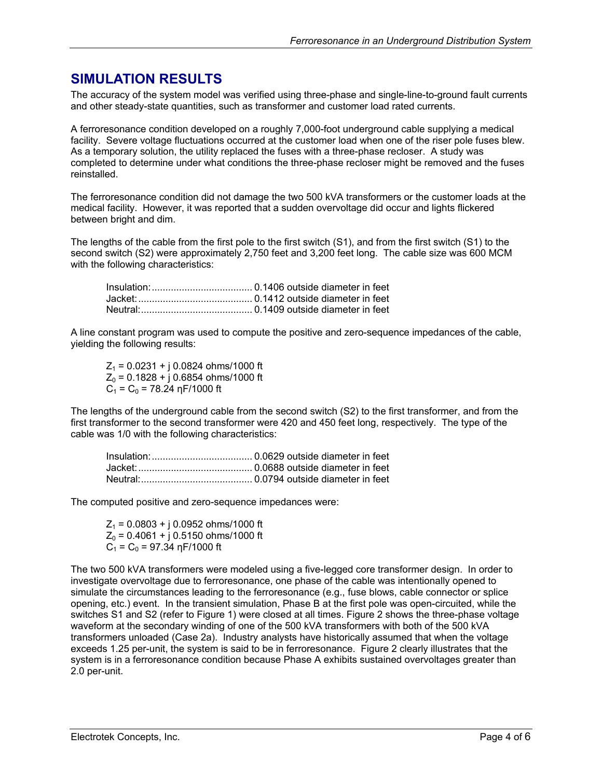#### <span id="page-3-0"></span>**SIMULATION RESULTS**

The accuracy of the system model was verified using three-phase and single-line-to-ground fault currents and other steady-state quantities, such as transformer and customer load rated currents.

A ferroresonance condition developed on a roughly 7,000-foot underground cable supplying a medical facility. Severe voltage fluctuations occurred at the customer load when one of the riser pole fuses blew. As a temporary solution, the utility replaced the fuses with a three-phase recloser. A study was completed to determine under what conditions the three-phase recloser might be removed and the fuses reinstalled.

The ferroresonance condition did not damage the two 500 kVA transformers or the customer loads at the medical facility. However, it was reported that a sudden overvoltage did occur and lights flickered between bright and dim.

The lengths of the cable from the first pole to the first switch (S1), and from the first switch (S1) to the second switch (S2) were approximately 2,750 feet and 3,200 feet long. The cable size was 600 MCM with the following characteristics:

A line constant program was used to compute the positive and zero-sequence impedances of the cable, yielding the following results:

 $Z_1$  = 0.0231 + j 0.0824 ohms/1000 ft  $Z_0$  = 0.1828 + j 0.6854 ohms/1000 ft  $C_1 = C_0 = 78.24$  ηF/1000 ft

The lengths of the underground cable from the second switch (S2) to the first transformer, and from the first transformer to the second transformer were 420 and 450 feet long, respectively. The type of the cable was 1/0 with the following characteristics:

The computed positive and zero-sequence impedances were:

 $Z_1$  = 0.0803 + j 0.0952 ohms/1000 ft  $Z_0$  = 0.4061 + j 0.5150 ohms/1000 ft  $C_1 = C_0 = 97.34$  ηF/1000 ft

The two 500 kVA transformers were modeled using a five-legged core transformer design. In order to investigate overvoltage due to ferroresonance, one phase of the cable was intentionally opened to simulate the circumstances leading to the ferroresonance (e.g., fuse blows, cable connector or splice opening, etc.) event. In the transient simulation, Phase B at the first pole was open-circuited, while the switches S1 and S2 (refer to [Figure 1\)](#page-2-1) were closed at all times. [Figure 2](#page-4-1) shows the three-phase voltage waveform at the secondary winding of one of the 500 kVA transformers with both of the 500 kVA transformers unloaded (Case 2a). Industry analysts have historically assumed that when the voltage exceeds 1.25 per-unit, the system is said to be in ferroresonance. [Figure 2](#page-4-1) clearly illustrates that the system is in a ferroresonance condition because Phase A exhibits sustained overvoltages greater than 2.0 per-unit.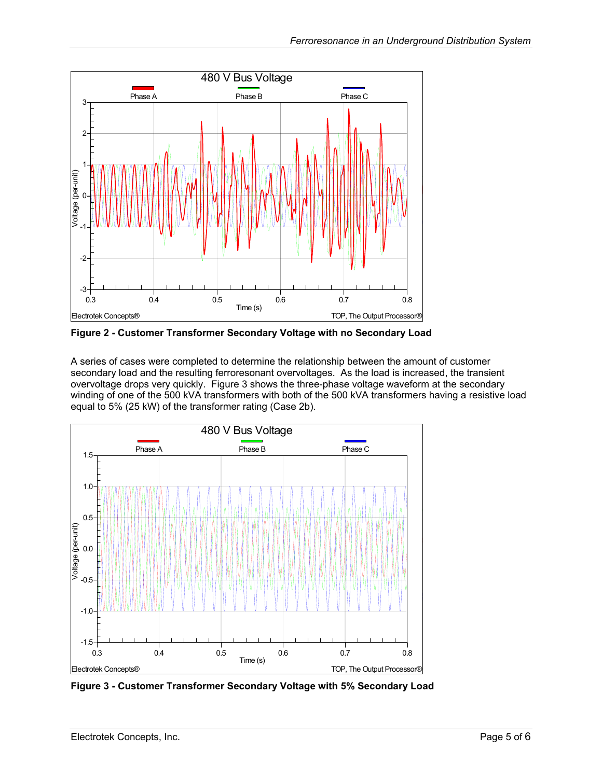<span id="page-4-1"></span><span id="page-4-0"></span>

**Figure 2 - Customer Transformer Secondary Voltage with no Secondary Load** 

A series of cases were completed to determine the relationship between the amount of customer secondary load and the resulting ferroresonant overvoltages. As the load is increased, the transient overvoltage drops very quickly. [Figure 3](#page-4-2) shows the three-phase voltage waveform at the secondary winding of one of the 500 kVA transformers with both of the 500 kVA transformers having a resistive load equal to 5% (25 kW) of the transformer rating (Case 2b).

<span id="page-4-2"></span>

**Figure 3 - Customer Transformer Secondary Voltage with 5% Secondary Load**